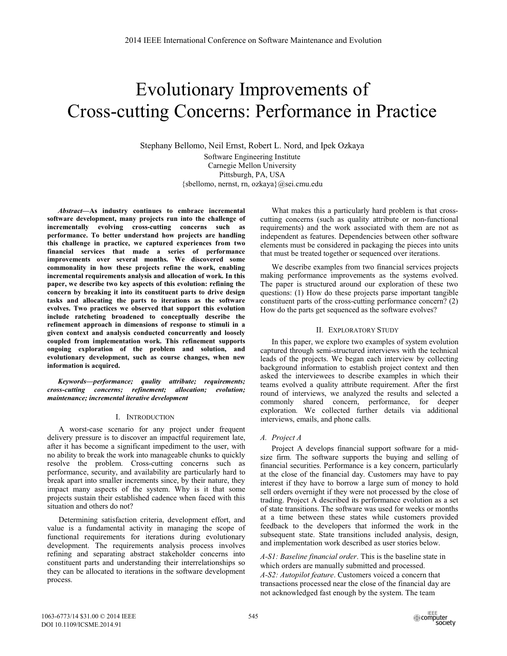# Evolutionary Improvements of Cross-cutting Concerns: Performance in Practice

Stephany Bellomo, Neil Ernst, Robert L. Nord, and Ipek Ozkaya Software Engineering Institute Carnegie Mellon University Pittsburgh, PA, USA {sbellomo, nernst, rn, ozkaya}@sei.cmu.edu

*Abstract***—As industry continues to embrace incremental software development, many projects run into the challenge of incrementally evolving cross-cutting concerns such as performance. To better understand how projects are handling this challenge in practice, we captured experiences from two financial services that made a series of performance improvements over several months. We discovered some commonality in how these projects refine the work, enabling incremental requirements analysis and allocation of work. In this paper, we describe two key aspects of this evolution: refining the concern by breaking it into its constituent parts to drive design tasks and allocating the parts to iterations as the software evolves. Two practices we observed that support this evolution include ratcheting broadened to conceptually describe the refinement approach in dimensions of response to stimuli in a given context and analysis conducted concurrently and loosely coupled from implementation work. This refinement supports ongoing exploration of the problem and solution, and evolutionary development, such as course changes, when new information is acquired.** 

*Keywords—performance; quality attribute; requirements; cross-cutting concerns; refinement; allocation; evolution; maintenance; incremental iterative development* 

#### I. INTRODUCTION

A worst-case scenario for any project under frequent delivery pressure is to discover an impactful requirement late, after it has become a significant impediment to the user, with no ability to break the work into manageable chunks to quickly resolve the problem. Cross-cutting concerns such as performance, security, and availability are particularly hard to break apart into smaller increments since, by their nature, they impact many aspects of the system. Why is it that some projects sustain their established cadence when faced with this situation and others do not?

Determining satisfaction criteria, development effort, and value is a fundamental activity in managing the scope of functional requirements for iterations during evolutionary development. The requirements analysis process involves refining and separating abstract stakeholder concerns into constituent parts and understanding their interrelationships so they can be allocated to iterations in the software development process.

What makes this a particularly hard problem is that crosscutting concerns (such as quality attribute or non-functional requirements) and the work associated with them are not as independent as features. Dependencies between other software elements must be considered in packaging the pieces into units that must be treated together or sequenced over iterations.

We describe examples from two financial services projects making performance improvements as the systems evolved. The paper is structured around our exploration of these two questions: (1) How do these projects parse important tangible constituent parts of the cross-cutting performance concern? (2) How do the parts get sequenced as the software evolves?

#### II. EXPLORATORY STUDY

In this paper, we explore two examples of system evolution captured through semi-structured interviews with the technical leads of the projects. We began each interview by collecting background information to establish project context and then asked the interviewees to describe examples in which their teams evolved a quality attribute requirement. After the first round of interviews, we analyzed the results and selected a commonly shared concern, performance, for deeper exploration. We collected further details via additional interviews, emails, and phone calls.

# *A. Project A*

Project A develops financial support software for a midsize firm. The software supports the buying and selling of financial securities. Performance is a key concern, particularly at the close of the financial day. Customers may have to pay interest if they have to borrow a large sum of money to hold sell orders overnight if they were not processed by the close of trading. Project A described its performance evolution as a set of state transitions. The software was used for weeks or months at a time between these states while customers provided feedback to the developers that informed the work in the subsequent state. State transitions included analysis, design, and implementation work described as user stories below.

*A-S1: Baseline financial order*. This is the baseline state in which orders are manually submitted and processed. *A-S2: Autopilot feature*. Customers voiced a concern that transactions processed near the close of the financial day are not acknowledged fast enough by the system. The team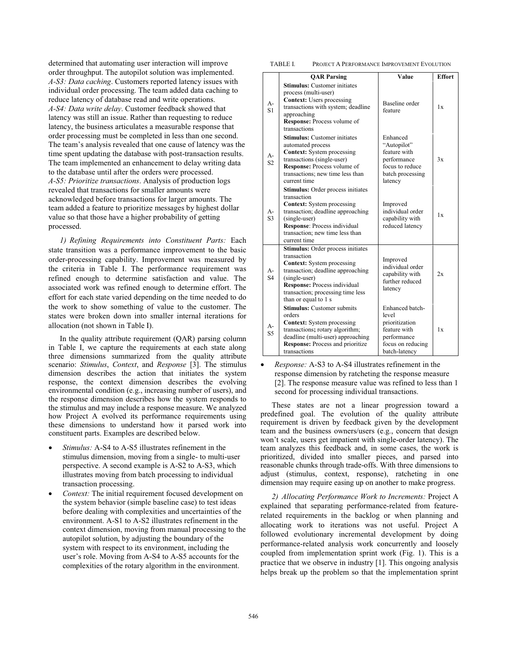determined that automating user interaction will improve order throughput. The autopilot solution was implemented. *A-S3: Data caching*. Customers reported latency issues with individual order processing. The team added data caching to reduce latency of database read and write operations. *A-S4: Data write delay*. Customer feedback showed that latency was still an issue. Rather than requesting to reduce latency, the business articulates a measurable response that order processing must be completed in less than one second. The team's analysis revealed that one cause of latency was the time spent updating the database with post-transaction results. The team implemented an enhancement to delay writing data to the database until after the orders were processed. *A-S5: Prioritize transactions*. Analysis of production logs revealed that transactions for smaller amounts were acknowledged before transactions for larger amounts. The team added a feature to prioritize messages by highest dollar value so that those have a higher probability of getting processed.

*1) Refining Requirements into Constituent Parts:* Each state transition was a performance improvement to the basic order-processing capability. Improvement was measured by the criteria in Table I. The performance requirement was refined enough to determine satisfaction and value. The associated work was refined enough to determine effort. The effort for each state varied depending on the time needed to do the work to show something of value to the customer. The states were broken down into smaller internal iterations for allocation (not shown in Table I).

In the quality attribute requirement (QAR) parsing column in Table I, we capture the requirements at each state along three dimensions summarized from the quality attribute scenario: *Stimulus*, *Context*, and *Response* [3]. The stimulus dimension describes the action that initiates the system response, the context dimension describes the evolving environmental condition (e.g., increasing number of users), and the response dimension describes how the system responds to the stimulus and may include a response measure. We analyzed how Project A evolved its performance requirements using these dimensions to understand how it parsed work into constituent parts. Examples are described below.

- - *Stimulus:* A-S4 to A-S5 illustrates refinement in the stimulus dimension, moving from a single- to multi-user perspective. A second example is A-S2 to A-S3, which illustrates moving from batch processing to individual transaction processing.
- -*Context:* The initial requirement focused development on the system behavior (simple baseline case) to test ideas before dealing with complexities and uncertainties of the environment. A-S1 to A-S2 illustrates refinement in the context dimension, moving from manual processing to the autopilot solution, by adjusting the boundary of the system with respect to its environment, including the user's role. Moving from A-S4 to A-S5 accounts for the complexities of the rotary algorithm in the environment.

TABLE I. PROJECT A PERFORMANCE IMPROVEMENT EVOLUTION

|                         | <b>QAR Parsing</b>                                                                                                                                                                                                                                     | Value                                                                                                           | <b>Effort</b> |
|-------------------------|--------------------------------------------------------------------------------------------------------------------------------------------------------------------------------------------------------------------------------------------------------|-----------------------------------------------------------------------------------------------------------------|---------------|
| $A-$<br>S1              | <b>Stimulus:</b> Customer initiates<br>process (multi-user)<br><b>Context:</b> Users processing<br>transactions with system; deadline<br>approaching<br><b>Response:</b> Process volume of<br>transactions                                             | Baseline order<br>feature                                                                                       | 1x            |
| $A-$<br>S <sub>2</sub>  | <b>Stimulus:</b> Customer initiates<br>automated process<br><b>Context:</b> System processing<br>transactions (single-user)<br><b>Response:</b> Process volume of<br>transactions; new time less than<br>current time                                  | Enhanced<br>"Autopilot"<br>feature with<br>performance<br>focus to reduce<br>batch processing<br>latency        | 3x            |
| A-<br>S <sub>3</sub>    | <b>Stimulus:</b> Order process initiates<br>transaction<br><b>Context:</b> System processing<br>transaction; deadline approaching<br>(single-user)<br><b>Response:</b> Process individual<br>transaction; new time less than<br>current time           | Improved<br>individual order<br>capability with<br>reduced latency                                              | 1x            |
| $A -$<br>S <sub>4</sub> | <b>Stimulus:</b> Order process initiates<br>transaction<br><b>Context:</b> System processing<br>transaction; deadline approaching<br>(single-user)<br><b>Response:</b> Process individual<br>transaction; processing time less<br>than or equal to 1 s | Improved<br>individual order<br>capability with<br>further reduced<br>latency                                   | 2x            |
| А-<br>S <sub>5</sub>    | <b>Stimulus:</b> Customer submits<br>orders<br><b>Context:</b> System processing<br>transactions; rotary algorithm;<br>deadline (multi-user) approaching<br>Response: Process and prioritize<br>transactions                                           | Enhanced batch-<br>level<br>prioritization<br>feature with<br>performance<br>focus on reducing<br>batch-latency | 1x            |

- *Response:* A-S3 to A-S4 illustrates refinement in the response dimension by ratcheting the response measure [2]. The response measure value was refined to less than 1 second for processing individual transactions.

These states are not a linear progression toward a predefined goal. The evolution of the quality attribute requirement is driven by feedback given by the development team and the business owners/users (e.g., concern that design won't scale, users get impatient with single-order latency). The team analyzes this feedback and, in some cases, the work is prioritized, divided into smaller pieces, and parsed into reasonable chunks through trade-offs. With three dimensions to adjust (stimulus, context, response), ratcheting in one dimension may require easing up on another to make progress.

*2) Allocating Performance Work to Increments:* Project A explained that separating performance-related from featurerelated requirements in the backlog or when planning and allocating work to iterations was not useful. Project A followed evolutionary incremental development by doing performance-related analysis work concurrently and loosely coupled from implementation sprint work (Fig. 1). This is a practice that we observe in industry [1]. This ongoing analysis helps break up the problem so that the implementation sprint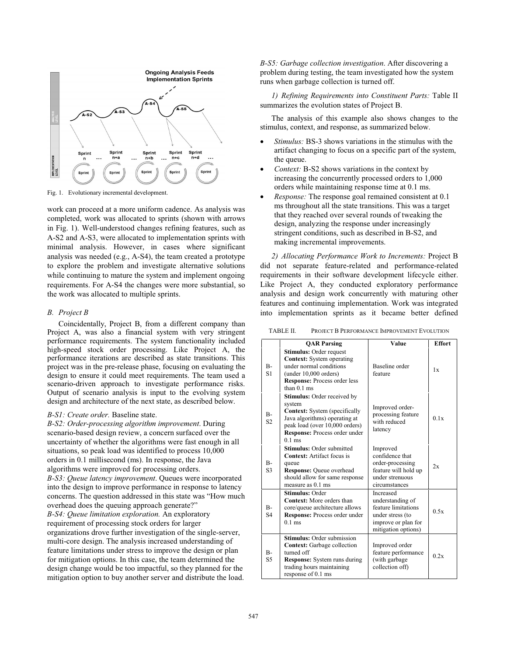

Fig. 1. Evolutionary incremental development.

work can proceed at a more uniform cadence. As analysis was completed, work was allocated to sprints (shown with arrows in Fig. 1). Well-understood changes refining features, such as A-S2 and A-S3, were allocated to implementation sprints with minimal analysis. However, in cases where significant analysis was needed (e.g., A-S4), the team created a prototype to explore the problem and investigate alternative solutions while continuing to mature the system and implement ongoing requirements. For A-S4 the changes were more substantial, so the work was allocated to multiple sprints.

#### *B. Project B*

Coincidentally, Project B, from a different company than Project A, was also a financial system with very stringent performance requirements. The system functionality included high-speed stock order processing. Like Project A, the performance iterations are described as state transitions. This project was in the pre-release phase, focusing on evaluating the design to ensure it could meet requirements. The team used a scenario-driven approach to investigate performance risks. Output of scenario analysis is input to the evolving system design and architecture of the next state, as described below.

### *B-S1: Create order.* Baseline state.

*B-S2: Order-processing algorithm improvement*. During scenario-based design review, a concern surfaced over the uncertainty of whether the algorithms were fast enough in all situations, so peak load was identified to process 10,000 orders in 0.1 millisecond (ms). In response, the Java algorithms were improved for processing orders. *B-S3: Queue latency improvement*. Queues were incorporated into the design to improve performance in response to latency concerns. The question addressed in this state was "How much overhead does the queuing approach generate?" *B-S4: Queue limitation exploration.* An exploratory requirement of processing stock orders for larger organizations drove further investigation of the single-server, multi-core design. The analysis increased understanding of feature limitations under stress to improve the design or plan for mitigation options. In this case, the team determined the design change would be too impactful, so they planned for the mitigation option to buy another server and distribute the load.

*B-S5: Garbage collection investigation*. After discovering a problem during testing, the team investigated how the system runs when garbage collection is turned off.

*1) Refining Requirements into Constituent Parts:* Table II summarizes the evolution states of Project B.

The analysis of this example also shows changes to the stimulus, context, and response, as summarized below.

- - *Stimulus:* BS-3 shows variations in the stimulus with the artifact changing to focus on a specific part of the system, the queue.
- - *Context:* B-S2 shows variations in the context by increasing the concurrently processed orders to 1,000 orders while maintaining response time at 0.1 ms.
- $\bullet$  *Response:* The response goal remained consistent at 0.1 ms throughout all the state transitions. This was a target that they reached over several rounds of tweaking the design, analyzing the response under increasingly stringent conditions, such as described in B-S2, and making incremental improvements.

*2) Allocating Performance Work to Increments:* Project B did not separate feature-related and performance-related requirements in their software development lifecycle either. Like Project A, they conducted exploratory performance analysis and design work concurrently with maturing other features and continuing implementation. Work was integrated into implementation sprints as it became better defined

TABLE II. PROJECT B PERFORMANCE IMPROVEMENT EVOLUTION

|                         | <b>QAR Parsing</b>                                                                                                                                                                                   | Value                                                                                                                  | <b>Effort</b> |
|-------------------------|------------------------------------------------------------------------------------------------------------------------------------------------------------------------------------------------------|------------------------------------------------------------------------------------------------------------------------|---------------|
| $B -$<br>S <sub>1</sub> | <b>Stimulus:</b> Order request<br><b>Context:</b> System operating<br>under normal conditions<br>(under 10,000 orders)<br><b>Response:</b> Process order less<br>than $01$ ms                        | Baseline order<br>feature                                                                                              | 1x            |
| $B -$<br>S <sub>2</sub> | <b>Stimulus:</b> Order received by<br>system<br><b>Context:</b> System (specifically<br>Java algorithms) operating at<br>peak load (over 10,000 orders)<br>Response: Process order under<br>$0.1$ ms | Improved order-<br>processing feature<br>with reduced<br>latency                                                       | 0.1x          |
| $B -$<br>S <sub>3</sub> | <b>Stimulus: Order submitted</b><br><b>Context:</b> Artifact focus is<br>queue<br>Response: Queue overhead<br>should allow for same response<br>measure as $0.1$ ms                                  | Improved<br>confidence that<br>order-processing<br>feature will hold up<br>under strenuous<br>circumstances            | 2x            |
| $B -$<br>S <sub>4</sub> | <b>Stimulus: Order</b><br><b>Context:</b> More orders than<br>core/queue architecture allows<br><b>Response:</b> Process order under<br>$0.1$ ms                                                     | Increased<br>understanding of<br>feature limitations<br>under stress (to<br>improve or plan for<br>mitigation options) | 0.5x          |
| $B -$<br>S <sub>5</sub> | Stimulus: Order submission<br><b>Context:</b> Garbage collection<br>turned off<br><b>Response:</b> System runs during<br>trading hours maintaining<br>response of 0.1 ms                             | Improved order<br>feature performance<br>(with garbage<br>collection off)                                              | 0.2x          |